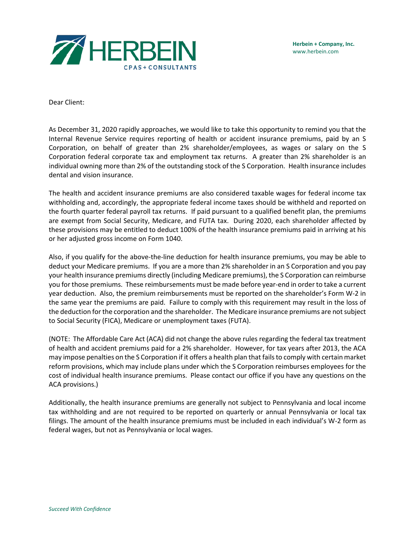

Dear Client:

As December 31, 2020 rapidly approaches, we would like to take this opportunity to remind you that the Internal Revenue Service requires reporting of health or accident insurance premiums, paid by an S Corporation, on behalf of greater than 2% shareholder/employees, as wages or salary on the S Corporation federal corporate tax and employment tax returns. A greater than 2% shareholder is an individual owning more than 2% of the outstanding stock of the S Corporation. Health insurance includes dental and vision insurance.

The health and accident insurance premiums are also considered taxable wages for federal income tax withholding and, accordingly, the appropriate federal income taxes should be withheld and reported on the fourth quarter federal payroll tax returns. If paid pursuant to a qualified benefit plan, the premiums are exempt from Social Security, Medicare, and FUTA tax. During 2020, each shareholder affected by these provisions may be entitled to deduct 100% of the health insurance premiums paid in arriving at his or her adjusted gross income on Form 1040.

Also, if you qualify for the above-the-line deduction for health insurance premiums, you may be able to deduct your Medicare premiums. If you are a more than 2% shareholder in an S Corporation and you pay your health insurance premiums directly (including Medicare premiums), the S Corporation can reimburse you for those premiums. These reimbursements must be made before year-end in order to take a current year deduction. Also, the premium reimbursements must be reported on the shareholder's Form W-2 in the same year the premiums are paid. Failure to comply with this requirement may result in the loss of the deduction for the corporation and the shareholder. The Medicare insurance premiums are not subject to Social Security (FICA), Medicare or unemployment taxes (FUTA).

(NOTE: The Affordable Care Act (ACA) did not change the above rules regarding the federal tax treatment of health and accident premiums paid for a 2% shareholder. However, for tax years after 2013, the ACA may impose penalties on the S Corporation if it offers a health plan that fails to comply with certain market reform provisions, which may include plans under which the S Corporation reimburses employees for the cost of individual health insurance premiums. Please contact our office if you have any questions on the ACA provisions.)

Additionally, the health insurance premiums are generally not subject to Pennsylvania and local income tax withholding and are not required to be reported on quarterly or annual Pennsylvania or local tax filings. The amount of the health insurance premiums must be included in each individual's W-2 form as federal wages, but not as Pennsylvania or local wages.